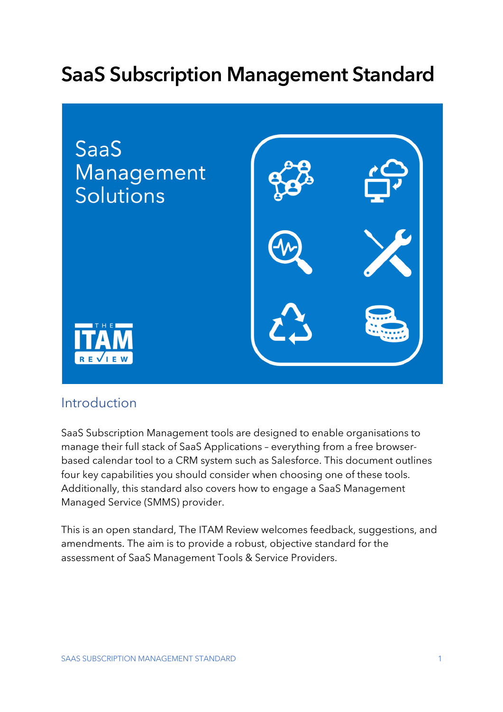# **SaaS Subscription Management Standard**



## Introduction

SaaS Subscription Management tools are designed to enable organisations to manage their full stack of SaaS Applications – everything from a free browserbased calendar tool to a CRM system such as Salesforce. This document outlines four key capabilities you should consider when choosing one of these tools. Additionally, this standard also covers how to engage a SaaS Management Managed Service (SMMS) provider.

This is an open standard, The ITAM Review welcomes feedback, suggestions, and amendments. The aim is to provide a robust, objective standard for the assessment of SaaS Management Tools & Service Providers.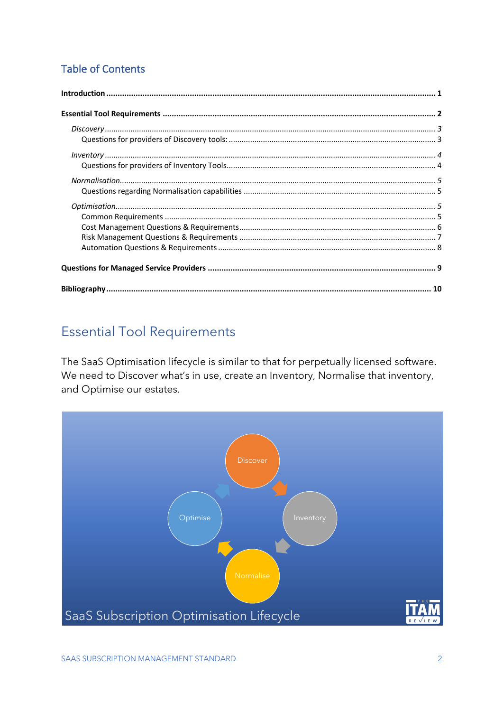### **Table of Contents**

## **Essential Tool Requirements**

The SaaS Optimisation lifecycle is similar to that for perpetually licensed software. We need to Discover what's in use, create an Inventory, Normalise that inventory, and Optimise our estates.

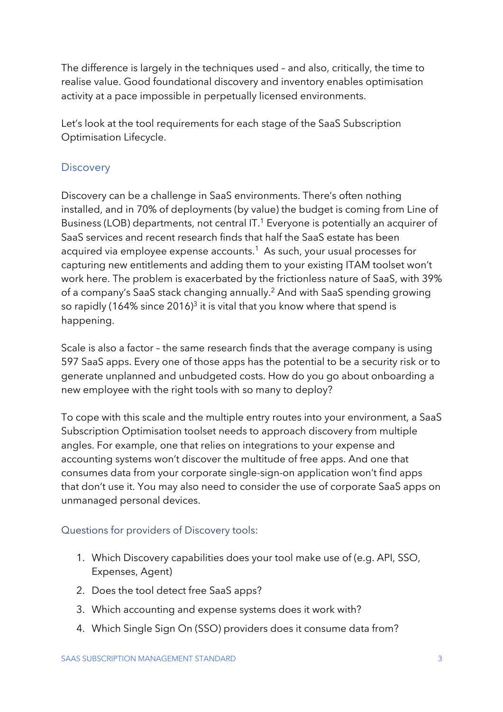The difference is largely in the techniques used – and also, critically, the time to realise value. Good foundational discovery and inventory enables optimisation activity at a pace impossible in perpetually licensed environments.

Let's look at the tool requirements for each stage of the SaaS Subscription Optimisation Lifecycle.

#### **Discovery**

Discovery can be a challenge in SaaS environments. There's often nothing installed, and in 70% of deployments (by value) the budget is coming from Line of Business (LOB) departments, not central IT.<sup>1</sup> Everyone is potentially an acquirer of SaaS services and recent research finds that half the SaaS estate has been acquired via employee expense accounts.<sup>1</sup> As such, your usual processes for capturing new entitlements and adding them to your existing ITAM toolset won't work here. The problem is exacerbated by the frictionless nature of SaaS, with 39% of a company's SaaS stack changing annually. <sup>2</sup> And with SaaS spending growing so rapidly (164% since 2016) $^3$  it is vital that you know where that spend is happening.

Scale is also a factor – the same research finds that the average company is using 597 SaaS apps. Every one of those apps has the potential to be a security risk or to generate unplanned and unbudgeted costs. How do you go about onboarding a new employee with the right tools with so many to deploy?

To cope with this scale and the multiple entry routes into your environment, a SaaS Subscription Optimisation toolset needs to approach discovery from multiple angles. For example, one that relies on integrations to your expense and accounting systems won't discover the multitude of free apps. And one that consumes data from your corporate single-sign-on application won't find apps that don't use it. You may also need to consider the use of corporate SaaS apps on unmanaged personal devices.

#### Questions for providers of Discovery tools:

- 1. Which Discovery capabilities does your tool make use of (e.g. API, SSO, Expenses, Agent)
- 2. Does the tool detect free SaaS apps?
- 3. Which accounting and expense systems does it work with?
- 4. Which Single Sign On (SSO) providers does it consume data from?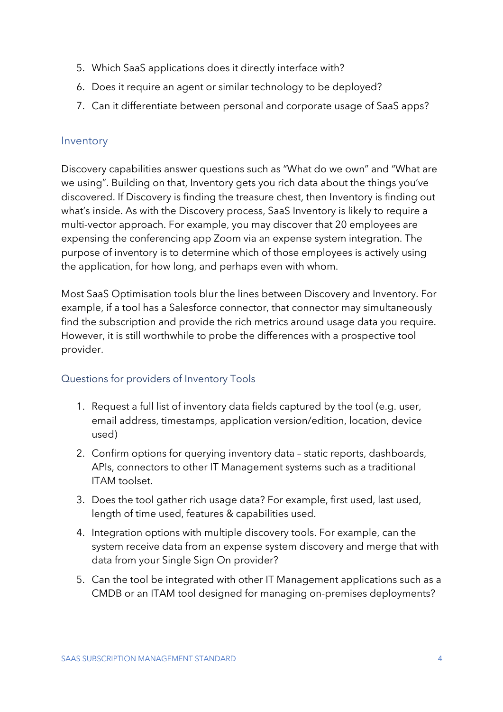- 5. Which SaaS applications does it directly interface with?
- 6. Does it require an agent or similar technology to be deployed?
- 7. Can it differentiate between personal and corporate usage of SaaS apps?

#### Inventory

Discovery capabilities answer questions such as "What do we own" and "What are we using". Building on that, Inventory gets you rich data about the things you've discovered. If Discovery is finding the treasure chest, then Inventory is finding out what's inside. As with the Discovery process, SaaS Inventory is likely to require a multi-vector approach. For example, you may discover that 20 employees are expensing the conferencing app Zoom via an expense system integration. The purpose of inventory is to determine which of those employees is actively using the application, for how long, and perhaps even with whom.

Most SaaS Optimisation tools blur the lines between Discovery and Inventory. For example, if a tool has a Salesforce connector, that connector may simultaneously find the subscription and provide the rich metrics around usage data you require. However, it is still worthwhile to probe the differences with a prospective tool provider.

#### Questions for providers of Inventory Tools

- 1. Request a full list of inventory data fields captured by the tool (e.g. user, email address, timestamps, application version/edition, location, device used)
- 2. Confirm options for querying inventory data static reports, dashboards, APIs, connectors to other IT Management systems such as a traditional ITAM toolset.
- 3. Does the tool gather rich usage data? For example, first used, last used, length of time used, features & capabilities used.
- 4. Integration options with multiple discovery tools. For example, can the system receive data from an expense system discovery and merge that with data from your Single Sign On provider?
- 5. Can the tool be integrated with other IT Management applications such as a CMDB or an ITAM tool designed for managing on-premises deployments?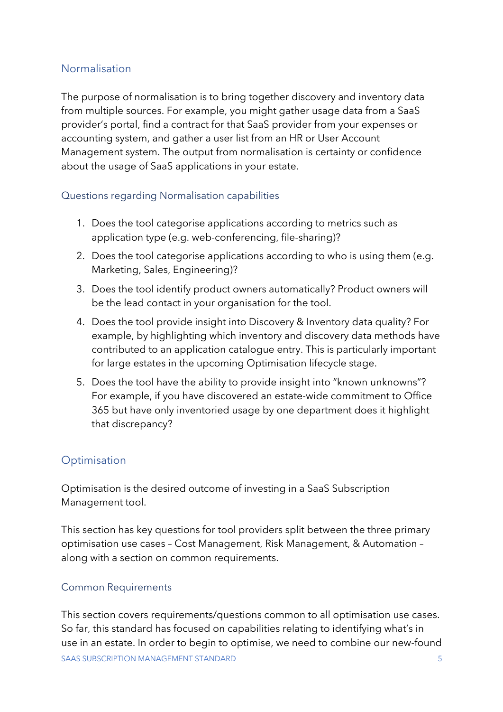#### Normalisation

The purpose of normalisation is to bring together discovery and inventory data from multiple sources. For example, you might gather usage data from a SaaS provider's portal, find a contract for that SaaS provider from your expenses or accounting system, and gather a user list from an HR or User Account Management system. The output from normalisation is certainty or confidence about the usage of SaaS applications in your estate.

#### Questions regarding Normalisation capabilities

- 1. Does the tool categorise applications according to metrics such as application type (e.g. web-conferencing, file-sharing)?
- 2. Does the tool categorise applications according to who is using them (e.g. Marketing, Sales, Engineering)?
- 3. Does the tool identify product owners automatically? Product owners will be the lead contact in your organisation for the tool.
- 4. Does the tool provide insight into Discovery & Inventory data quality? For example, by highlighting which inventory and discovery data methods have contributed to an application catalogue entry. This is particularly important for large estates in the upcoming Optimisation lifecycle stage.
- 5. Does the tool have the ability to provide insight into "known unknowns"? For example, if you have discovered an estate-wide commitment to Office 365 but have only inventoried usage by one department does it highlight that discrepancy?

#### **Optimisation**

Optimisation is the desired outcome of investing in a SaaS Subscription Management tool.

This section has key questions for tool providers split between the three primary optimisation use cases – Cost Management, Risk Management, & Automation – along with a section on common requirements.

#### Common Requirements

SAAS SUBSCRIPTION MANAGEMENT STANDARD 5 This section covers requirements/questions common to all optimisation use cases. So far, this standard has focused on capabilities relating to identifying what's in use in an estate. In order to begin to optimise, we need to combine our new-found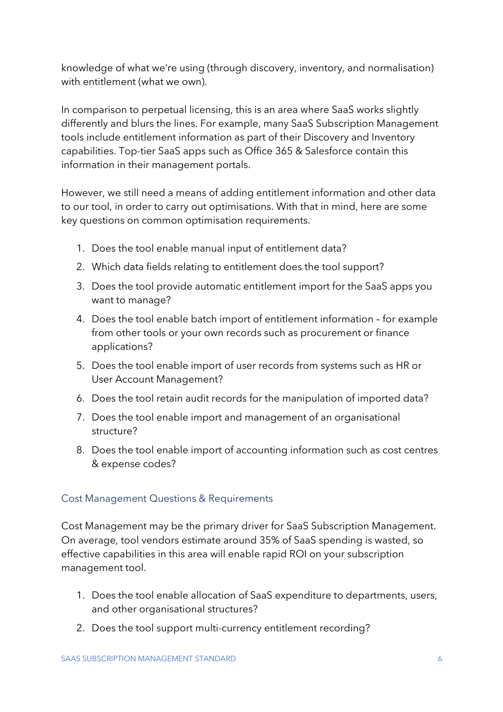knowledge of what we're using (through discovery, inventory, and normalisation) with entitlement (what we own).

In comparison to perpetual licensing, this is an area where SaaS works slightly differently and blurs the lines. For example, many SaaS Subscription Management tools include entitlement information as part of their Discovery and Inventory capabilities. Top-tier SaaS apps such as Office 365 & Salesforce contain this information in their management portals.

However, we still need a means of adding entitlement information and other data to our tool, in order to carry out optimisations. With that in mind, here are some key questions on common optimisation requirements.

- 1. Does the tool enable manual input of entitlement data?
- 2. Which data fields relating to entitlement does the tool support?
- 3. Does the tool provide automatic entitlement import for the SaaS apps you want to manage?
- 4. Does the tool enable batch import of entitlement information for example from other tools or your own records such as procurement or finance applications?
- 5. Does the tool enable import of user records from systems such as HR or User Account Management?
- 6. Does the tool retain audit records for the manipulation of imported data?
- 7. Does the tool enable import and management of an organisational structure?
- 8. Does the tool enable import of accounting information such as cost centres & expense codes?

#### Cost Management Questions & Requirements

Cost Management may be the primary driver for SaaS Subscription Management. On average, tool vendors estimate around 35% of SaaS spending is wasted, so effective capabilities in this area will enable rapid ROI on your subscription management tool.

- 1. Does the tool enable allocation of SaaS expenditure to departments, users, and other organisational structures?
- 2. Does the tool support multi-currency entitlement recording?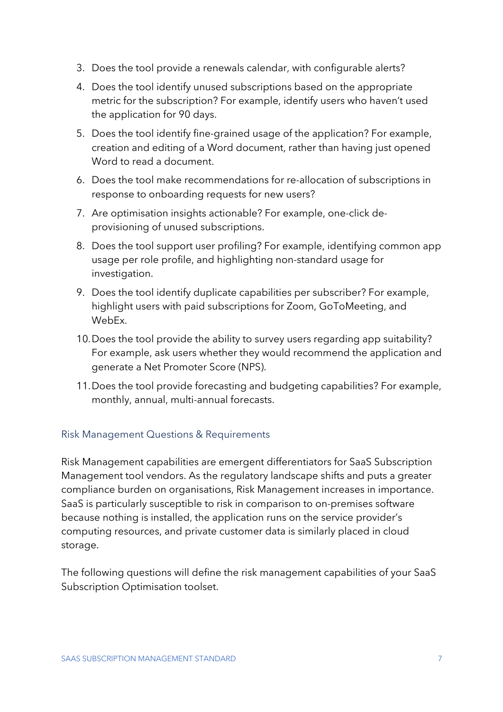- 3. Does the tool provide a renewals calendar, with configurable alerts?
- 4. Does the tool identify unused subscriptions based on the appropriate metric for the subscription? For example, identify users who haven't used the application for 90 days.
- 5. Does the tool identify fine-grained usage of the application? For example, creation and editing of a Word document, rather than having just opened Word to read a document.
- 6. Does the tool make recommendations for re-allocation of subscriptions in response to onboarding requests for new users?
- 7. Are optimisation insights actionable? For example, one-click deprovisioning of unused subscriptions.
- 8. Does the tool support user profiling? For example, identifying common app usage per role profile, and highlighting non-standard usage for investigation.
- 9. Does the tool identify duplicate capabilities per subscriber? For example, highlight users with paid subscriptions for Zoom, GoToMeeting, and WebEx.
- 10.Does the tool provide the ability to survey users regarding app suitability? For example, ask users whether they would recommend the application and generate a Net Promoter Score (NPS).
- 11.Does the tool provide forecasting and budgeting capabilities? For example, monthly, annual, multi-annual forecasts.

#### Risk Management Questions & Requirements

Risk Management capabilities are emergent differentiators for SaaS Subscription Management tool vendors. As the regulatory landscape shifts and puts a greater compliance burden on organisations, Risk Management increases in importance. SaaS is particularly susceptible to risk in comparison to on-premises software because nothing is installed, the application runs on the service provider's computing resources, and private customer data is similarly placed in cloud storage.

The following questions will define the risk management capabilities of your SaaS Subscription Optimisation toolset.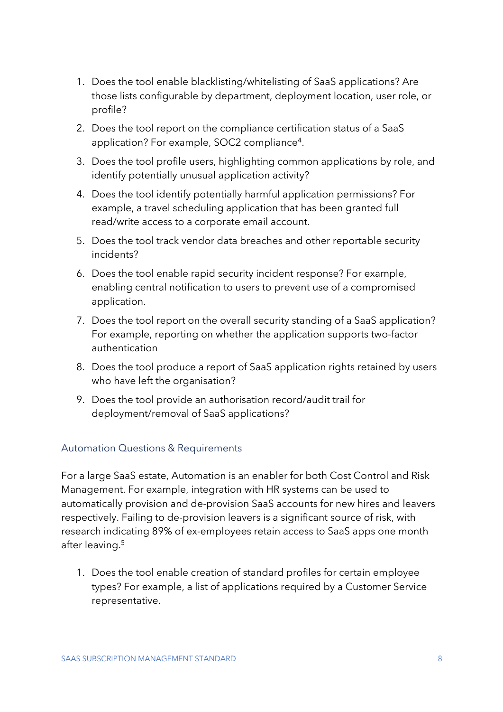- 1. Does the tool enable blacklisting/whitelisting of SaaS applications? Are those lists configurable by department, deployment location, user role, or profile?
- 2. Does the tool report on the compliance certification status of a SaaS application? For example, SOC2 compliance<sup>4</sup>.
- 3. Does the tool profile users, highlighting common applications by role, and identify potentially unusual application activity?
- 4. Does the tool identify potentially harmful application permissions? For example, a travel scheduling application that has been granted full read/write access to a corporate email account.
- 5. Does the tool track vendor data breaches and other reportable security incidents?
- 6. Does the tool enable rapid security incident response? For example, enabling central notification to users to prevent use of a compromised application.
- 7. Does the tool report on the overall security standing of a SaaS application? For example, reporting on whether the application supports two-factor authentication
- 8. Does the tool produce a report of SaaS application rights retained by users who have left the organisation?
- 9. Does the tool provide an authorisation record/audit trail for deployment/removal of SaaS applications?

#### Automation Questions & Requirements

For a large SaaS estate, Automation is an enabler for both Cost Control and Risk Management. For example, integration with HR systems can be used to automatically provision and de-provision SaaS accounts for new hires and leavers respectively. Failing to de-provision leavers is a significant source of risk, with research indicating 89% of ex-employees retain access to SaaS apps one month after leaving. 5

1. Does the tool enable creation of standard profiles for certain employee types? For example, a list of applications required by a Customer Service representative.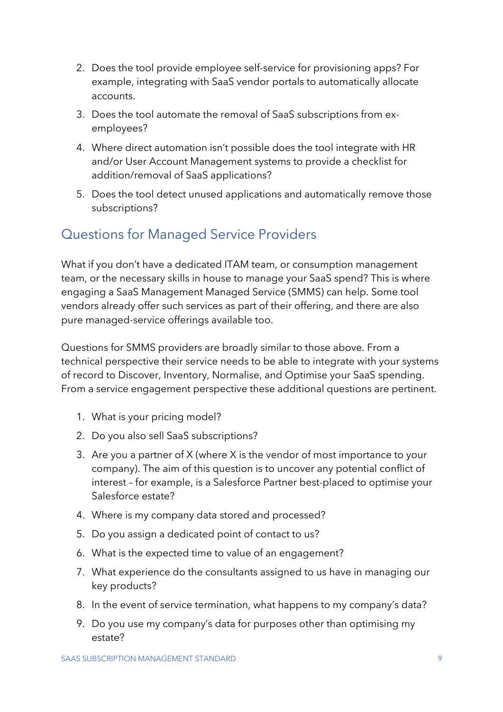- 2. Does the tool provide employee self-service for provisioning apps? For example, integrating with SaaS vendor portals to automatically allocate accounts.
- 3. Does the tool automate the removal of SaaS subscriptions from exemployees?
- 4. Where direct automation isn't possible does the tool integrate with HR and/or User Account Management systems to provide a checklist for addition/removal of SaaS applications?
- 5. Does the tool detect unused applications and automatically remove those subscriptions?

## Questions for Managed Service Providers

What if you don't have a dedicated ITAM team, or consumption management team, or the necessary skills in house to manage your SaaS spend? This is where engaging a SaaS Management Managed Service (SMMS) can help. Some tool vendors already offer such services as part of their offering, and there are also pure managed-service offerings available too.

Questions for SMMS providers are broadly similar to those above. From a technical perspective their service needs to be able to integrate with your systems of record to Discover, Inventory, Normalise, and Optimise your SaaS spending. From a service engagement perspective these additional questions are pertinent.

- 1. What is your pricing model?
- 2. Do you also sell SaaS subscriptions?
- 3. Are you a partner of X (where X is the vendor of most importance to your company). The aim of this question is to uncover any potential conflict of interest – for example, is a Salesforce Partner best-placed to optimise your Salesforce estate?
- 4. Where is my company data stored and processed?
- 5. Do you assign a dedicated point of contact to us?
- 6. What is the expected time to value of an engagement?
- 7. What experience do the consultants assigned to us have in managing our key products?
- 8. In the event of service termination, what happens to my company's data?
- 9. Do you use my company's data for purposes other than optimising my estate?